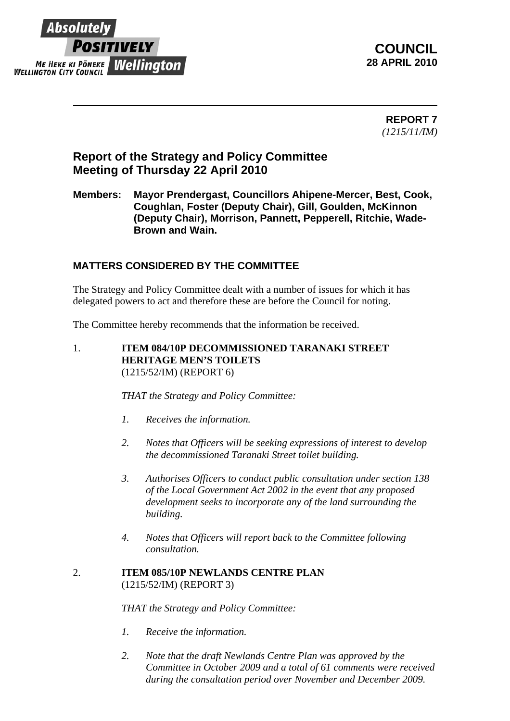

**COUNCIL 28 APRIL 2010** 

> **REPORT 7**  *(1215/11/IM)*

# **Report of the Strategy and Policy Committee Meeting of Thursday 22 April 2010**

**Members: Mayor Prendergast, Councillors Ahipene-Mercer, Best, Cook, Coughlan, Foster (Deputy Chair), Gill, Goulden, McKinnon (Deputy Chair), Morrison, Pannett, Pepperell, Ritchie, Wade-Brown and Wain.** 

## **MATTERS CONSIDERED BY THE COMMITTEE**

The Strategy and Policy Committee dealt with a number of issues for which it has delegated powers to act and therefore these are before the Council for noting.

The Committee hereby recommends that the information be received.

1. **ITEM 084/10P DECOMMISSIONED TARANAKI STREET HERITAGE MEN'S TOILETS**  (1215/52/IM) (REPORT 6)

*THAT the Strategy and Policy Committee:* 

- *1. Receives the information.*
- *2. Notes that Officers will be seeking expressions of interest to develop the decommissioned Taranaki Street toilet building.*
- *3. Authorises Officers to conduct public consultation under section 138 of the Local Government Act 2002 in the event that any proposed development seeks to incorporate any of the land surrounding the building.*
- *4. Notes that Officers will report back to the Committee following consultation.*

#### 2. **ITEM 085/10P NEWLANDS CENTRE PLAN**  (1215/52/IM) (REPORT 3)

*THAT the Strategy and Policy Committee:* 

- *1. Receive the information.*
- *2. Note that the draft Newlands Centre Plan was approved by the Committee in October 2009 and a total of 61 comments were received during the consultation period over November and December 2009.*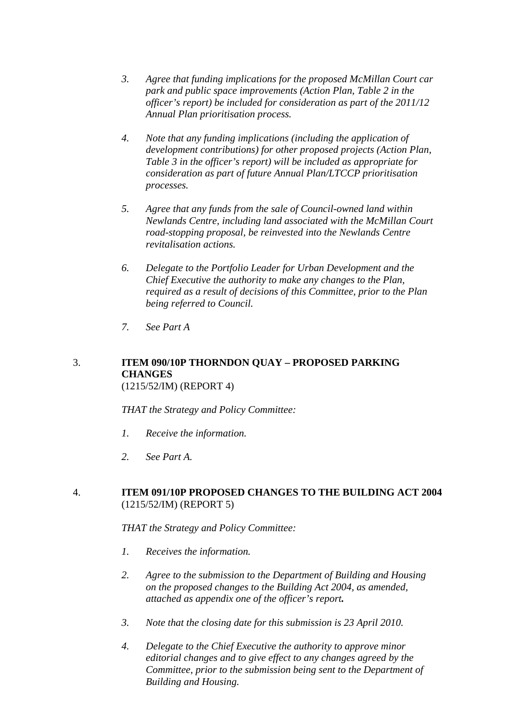- *3. Agree that funding implications for the proposed McMillan Court car park and public space improvements (Action Plan, Table 2 in the officer's report) be included for consideration as part of the 2011/12 Annual Plan prioritisation process.*
- *4. Note that any funding implications (including the application of development contributions) for other proposed projects (Action Plan, Table 3 in the officer's report) will be included as appropriate for consideration as part of future Annual Plan/LTCCP prioritisation processes.*
- *5. Agree that any funds from the sale of Council-owned land within Newlands Centre, including land associated with the McMillan Court road-stopping proposal, be reinvested into the Newlands Centre revitalisation actions.*
- *6. Delegate to the Portfolio Leader for Urban Development and the Chief Executive the authority to make any changes to the Plan, required as a result of decisions of this Committee, prior to the Plan being referred to Council.*
- *7. See Part A*

#### 3. **ITEM 090/10P THORNDON QUAY – PROPOSED PARKING CHANGES**  (1215/52/IM) (REPORT 4)

*THAT the Strategy and Policy Committee:* 

- *1. Receive the information.*
- *2. See Part A.*

### 4. **ITEM 091/10P PROPOSED CHANGES TO THE BUILDING ACT 2004**  (1215/52/IM) (REPORT 5)

*THAT the Strategy and Policy Committee:* 

- *1. Receives the information.*
- *2. Agree to the submission to the Department of Building and Housing on the proposed changes to the Building Act 2004, as amended, attached as appendix one of the officer's report.*
- *3. Note that the closing date for this submission is 23 April 2010.*
- *4. Delegate to the Chief Executive the authority to approve minor editorial changes and to give effect to any changes agreed by the Committee, prior to the submission being sent to the Department of Building and Housing.*